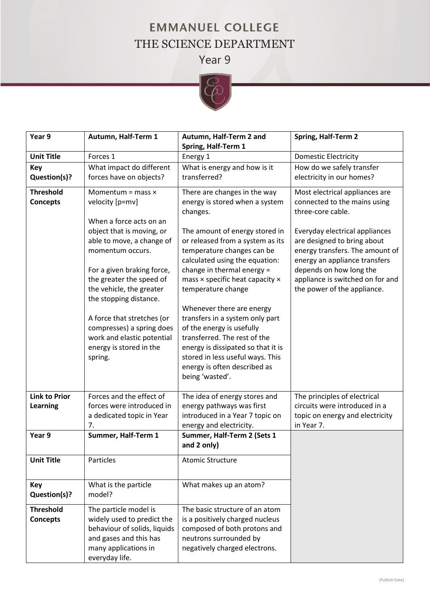## **EMMANUEL COLLEGE** THE SCIENCE DEPARTMENT

Year 9



| Year 9                              | Autumn, Half-Term 1                                                                                                                                     | Autumn, Half-Term 2 and                                                                                                                                                                                                                                | Spring, Half-Term 2                                                                                                                                          |
|-------------------------------------|---------------------------------------------------------------------------------------------------------------------------------------------------------|--------------------------------------------------------------------------------------------------------------------------------------------------------------------------------------------------------------------------------------------------------|--------------------------------------------------------------------------------------------------------------------------------------------------------------|
|                                     |                                                                                                                                                         | Spring, Half-Term 1                                                                                                                                                                                                                                    |                                                                                                                                                              |
| <b>Unit Title</b>                   | Forces 1                                                                                                                                                | Energy 1                                                                                                                                                                                                                                               | <b>Domestic Electricity</b>                                                                                                                                  |
| <b>Key</b><br>Question(s)?          | What impact do different<br>forces have on objects?                                                                                                     | What is energy and how is it<br>transferred?                                                                                                                                                                                                           | How do we safely transfer<br>electricity in our homes?                                                                                                       |
| <b>Threshold</b><br><b>Concepts</b> | Momentum = $mass \times$<br>velocity [p=mv]<br>When a force acts on an                                                                                  | There are changes in the way<br>energy is stored when a system<br>changes.                                                                                                                                                                             | Most electrical appliances are<br>connected to the mains using<br>three-core cable.                                                                          |
|                                     | object that is moving, or<br>able to move, a change of<br>momentum occurs.<br>For a given braking force,                                                | The amount of energy stored in<br>or released from a system as its<br>temperature changes can be<br>calculated using the equation:<br>change in thermal energy =                                                                                       | Everyday electrical appliances<br>are designed to bring about<br>energy transfers. The amount of<br>energy an appliance transfers<br>depends on how long the |
|                                     | the greater the speed of<br>the vehicle, the greater<br>the stopping distance.                                                                          | mass × specific heat capacity ×<br>temperature change                                                                                                                                                                                                  | appliance is switched on for and<br>the power of the appliance.                                                                                              |
|                                     | A force that stretches (or<br>compresses) a spring does<br>work and elastic potential<br>energy is stored in the<br>spring.                             | Whenever there are energy<br>transfers in a system only part<br>of the energy is usefully<br>transferred. The rest of the<br>energy is dissipated so that it is<br>stored in less useful ways. This<br>energy is often described as<br>being 'wasted'. |                                                                                                                                                              |
| <b>Link to Prior</b><br>Learning    | Forces and the effect of<br>forces were introduced in<br>a dedicated topic in Year<br>7.                                                                | The idea of energy stores and<br>energy pathways was first<br>introduced in a Year 7 topic on<br>energy and electricity.                                                                                                                               | The principles of electrical<br>circuits were introduced in a<br>topic on energy and electricity<br>in Year 7.                                               |
| Year 9                              | Summer, Half-Term 1                                                                                                                                     | Summer, Half-Term 2 (Sets 1<br>and 2 only)                                                                                                                                                                                                             |                                                                                                                                                              |
| <b>Unit Title</b>                   | Particles                                                                                                                                               | <b>Atomic Structure</b>                                                                                                                                                                                                                                |                                                                                                                                                              |
| Key<br>Question(s)?                 | What is the particle<br>model?                                                                                                                          | What makes up an atom?                                                                                                                                                                                                                                 |                                                                                                                                                              |
| <b>Threshold</b><br><b>Concepts</b> | The particle model is<br>widely used to predict the<br>behaviour of solids, liquids<br>and gases and this has<br>many applications in<br>everyday life. | The basic structure of an atom<br>is a positively charged nucleus<br>composed of both protons and<br>neutrons surrounded by<br>negatively charged electrons.                                                                                           |                                                                                                                                                              |